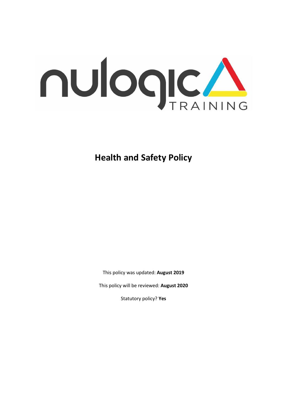

**Health and Safety Policy**

This policy was updated: **August 2019**

This policy will be reviewed: **August 2020**

Statutory policy? **Yes**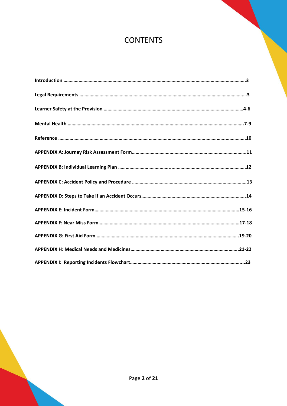# **CONTENTS**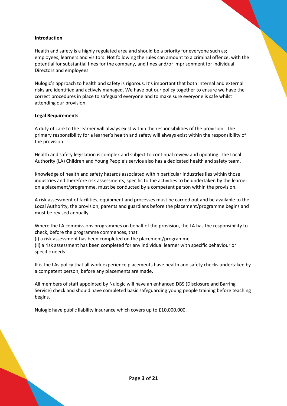### **Introduction**

Health and safety is a highly regulated area and should be a priority for everyone such as; employees, learners and visitors. Not following the rules can amount to a criminal offence, with the potential for substantial fines for the company, and fines and/or imprisonment for individual Directors and employees.

Nulogic's approach to health and safety is rigorous. It's important that both internal and external risks are identified and actively managed. We have put our policy together to ensure we have the correct procedures in place to safeguard everyone and to make sure everyone is safe whilst attending our provision.

### **Legal Requirements**

A duty of care to the learner will always exist within the responsibilities of the provision. The primary responsibility for a learner's health and safety will always exist within the responsibility of the provision.

Health and safety legislation is complex and subject to continual review and updating. The Local Authority (LA) Children and Young People's service also has a dedicated health and safety team.

Knowledge of health and safety hazards associated within particular industries lies within those industries and therefore risk assessments, specific to the activities to be undertaken by the learner on a placement/programme, must be conducted by a competent person within the provision.

A risk assessment of facilities, equipment and processes must be carried out and be available to the Local Authority, the provision, parents and guardians before the placement/programme begins and must be revised annually.

Where the LA commissions programmes on behalf of the provision, the LA has the responsibility to check, before the programme commences, that

(i) a risk assessment has been completed on the placement/programme (ii) a risk assessment has been completed for any individual learner with specific behaviour or specific needs

It is the LAs policy that all work experience placements have health and safety checks undertaken by a competent person, before any placements are made.

All members of staff appointed by Nulogic will have an enhanced DBS (Disclosure and Barring Service) check and should have completed basic safeguarding young people training before teaching begins.

Nulogic have public liability insurance which covers up to £10,000,000.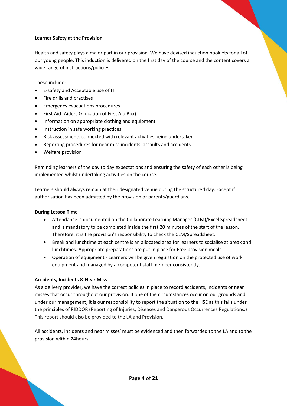### **Learner Safety at the Provision**

Health and safety plays a major part in our provision. We have devised induction booklets for all of our young people. This induction is delivered on the first day of the course and the content covers a wide range of instructions/policies.

These include:

- E-safety and Acceptable use of IT
- Fire drills and practises
- Emergency evacuations procedures
- First Aid (Aiders & location of First Aid Box)
- Information on appropriate clothing and equipment
- Instruction in safe working practices
- Risk assessments connected with relevant activities being undertaken
- Reporting procedures for near miss incidents, assaults and accidents
- Welfare provision

Reminding learners of the day to day expectations and ensuring the safety of each other is being implemented whilst undertaking activities on the course.

Learners should always remain at their designated venue during the structured day. Except if authorisation has been admitted by the provision or parents/guardians.

### **During Lesson Time**

- Attendance is documented on the Collaborate Learning Manager (CLM)/Excel Spreadsheet and is mandatory to be completed inside the first 20 minutes of the start of the lesson. Therefore, it is the provision's responsibility to check the CLM/Spreadsheet.
- Break and lunchtime at each centre is an allocated area for learners to socialise at break and lunchtimes. Appropriate preparations are put in place for Free provision meals.
- Operation of equipment Learners will be given regulation on the protected use of work equipment and managed by a competent staff member consistently.

### **Accidents, Incidents & Near Miss**

As a delivery provider, we have the correct policies in place to record accidents, incidents or near misses that occur throughout our provision. If one of the circumstances occur on our grounds and under our management, it is our responsibility to report the situation to the HSE as this falls under the principles of RIDDOR (Reporting of Injuries, Diseases and Dangerous Occurrences Regulations.) This report should also be provided to the LA and Provision.

All accidents, incidents and near misses' must be evidenced and then forwarded to the LA and to the provision within 24hours.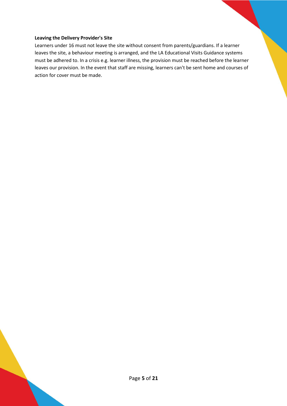### **Leaving the Delivery Provider's Site**

Learners under 16 must not leave the site without consent from parents/guardians. If a learner leaves the site, a behaviour meeting is arranged, and the LA Educational Visits Guidance systems must be adhered to. In a crisis e.g. learner illness, the provision must be reached before the learner leaves our provision. In the event that staff are missing, learners can't be sent home and courses of action for cover must be made.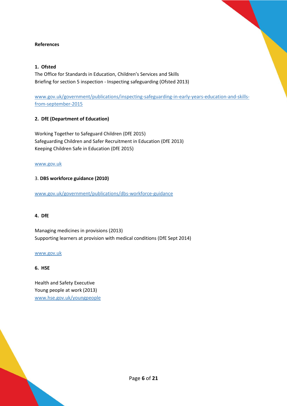### **References**

### **1. Ofsted**

The Office for Standards in Education, Children's Services and Skills Briefing for section 5 inspection - Inspecting safeguarding (Ofsted 2013)

[www.gov.uk/government/publications/inspecting-safeguarding-in-early-years-education-and-skills](http://www.gov.uk/government/publications/inspecting-safeguarding-in-early-years-education-and-skills-from-september-2015)[from-september-2015](http://www.gov.uk/government/publications/inspecting-safeguarding-in-early-years-education-and-skills-from-september-2015)

### **2. DfE (Department of Education)**

Working Together to Safeguard Children (DfE 2015) Safeguarding Children and Safer Recruitment in Education (DfE 2013) Keeping Children Safe in Education (DfE 2015)

[www.gov.uk](http://www.gov.uk/)

### 3. **DBS workforce guidance (2010)**

[www.gov.uk/government/publications/dbs-workforce-guidance](http://www.gov.uk/government/publications/dbs-workforce-guidance)

### **4. DfE**

Managing medicines in provisions (2013) Supporting learners at provision with medical conditions (DfE Sept 2014)

### [www.gov.uk](http://www.gov.uk/)

### **6. HSE**

Health and Safety Executive Young people at work (2013) [www.hse.gov.uk/youngpeople](http://www.hse.gov.uk/youngpeople)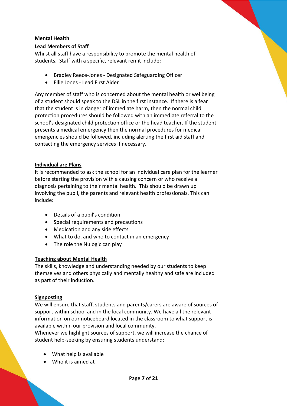### **Mental Health**

### **Lead Members of Staff**

Whilst all staff have a responsibility to promote the mental health of students. Staff with a specific, relevant remit include:

- Bradley Reece-Jones Designated Safeguarding Officer
- Ellie Jones Lead First Aider

Any member of staff who is concerned about the mental health or wellbeing of a student should speak to the DSL in the first instance. If there is a fear that the student is in danger of immediate harm, then the normal child protection procedures should be followed with an immediate referral to the school's designated child protection office or the head teacher. If the student presents a medical emergency then the normal procedures for medical emergencies should be followed, including alerting the first aid staff and contacting the emergency services if necessary.

### **Individual are Plans**

It is recommended to ask the school for an individual care plan for the learner before starting the provision with a causing concern or who receive a diagnosis pertaining to their mental health. This should be drawn up involving the pupil, the parents and relevant health professionals. This can include:

- Details of a pupil's condition
- Special requirements and precautions
- Medication and any side effects
- What to do, and who to contact in an emergency
- The role the Nulogic can play

### **Teaching about Mental Health**

The skills, knowledge and understanding needed by our students to keep themselves and others physically and mentally healthy and safe are included as part of their induction.

### **Signposting**

We will ensure that staff, students and parents/carers are aware of sources of support within school and in the local community. We have all the relevant information on our noticeboard located in the classroom to what support is available within our provision and local community.

Whenever we highlight sources of support, we will increase the chance of student help-seeking by ensuring students understand:

- What help is available
- Who it is aimed at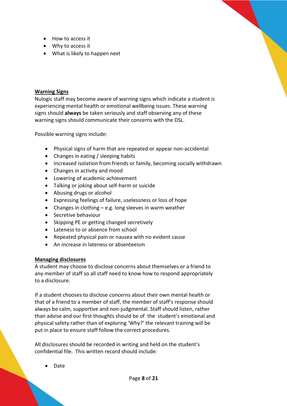- How to access it
- Why to access it
- What is likely to happen next

### **Warning Signs**

Nulogic staff may become aware of warning signs which indicate a student is experiencing mental health or emotional wellbeing issues. These warning signs should **always** be taken seriously and staff observing any of these warning signs should communicate their concerns with the DSL.

Possible warning signs include:

- Physical signs of harm that are repeated or appear non-accidental
- Changes in eating / sleeping habits
- Increased isolation from friends or family, becoming socially withdrawn
- Changes in activity and mood
- Lowering of academic achievement
- Talking or joking about self-harm or suicide
- Abusing drugs or alcohol
- Expressing feelings of failure, uselessness or loss of hope
- Changes in clothing e.g. long sleeves in warm weather
- Secretive behaviour
- Skipping PE or getting changed secretively
- Lateness to or absence from school
- Repeated physical pain or nausea with no evident cause
- An increase in lateness or absenteeism

### **Managing disclosures**

A student may choose to disclose concerns about themselves or a friend to any member of staff so all staff need to know how to respond appropriately to a disclosure.

If a student chooses to disclose concerns about their own mental health or that of a friend to a member of staff, the member of staff's response should always be calm, supportive and non-judgmental. Staff should listen, rather than advise and our first thoughts should be of the student's emotional and physical safety rather than of exploring 'Why?' the relevant training will be put in place to ensure staff follow the correct procedures.

All disclosures should be recorded in writing and held on the student's confidential file. This written record should include:

• Date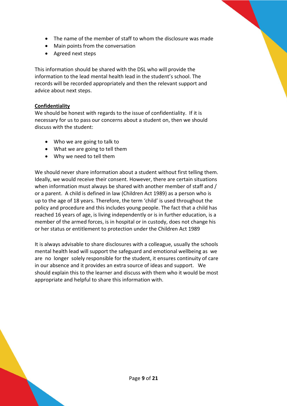- The name of the member of staff to whom the disclosure was made
- Main points from the conversation
- Agreed next steps

This information should be shared with the DSL who will provide the information to the lead mental health lead in the student's school. The records will be recorded appropriately and then the relevant support and advice about next steps.

### **Confidentiality**

We should be honest with regards to the issue of confidentiality. If it is necessary for us to pass our concerns about a student on, then we should discuss with the student:

- Who we are going to talk to
- What we are going to tell them
- Why we need to tell them

We should never share information about a student without first telling them. Ideally, we would receive their consent. However, there are certain situations when information must always be shared with another member of staff and / or a parent. A child is defined in law (Children Act 1989) as a person who is up to the age of 18 years. Therefore, the term 'child' is used throughout the policy and procedure and this includes young people. The fact that a child has reached 16 years of age, is living independently or is in further education, is a member of the armed forces, is in hospital or in custody, does not change his or her status or entitlement to protection under the Children Act 1989

It is always advisable to share disclosures with a colleague, usually the schools mental health lead will support the safeguard and emotional wellbeing as we are no longer solely responsible for the student, it ensures continuity of care in our absence and it provides an extra source of ideas and support. We should explain this to the learner and discuss with them who it would be most appropriate and helpful to share this information with.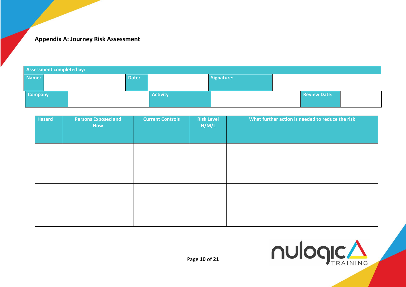# **Appendix A: Journey Risk Assessment**

| Assessment completed by: |  |       |                 |            |  |                     |  |
|--------------------------|--|-------|-----------------|------------|--|---------------------|--|
| Name:                    |  | Date: |                 | Signature: |  |                     |  |
|                          |  |       |                 |            |  |                     |  |
| <b>Company</b>           |  |       | <b>Activity</b> |            |  | <b>Review Date:</b> |  |
|                          |  |       |                 |            |  |                     |  |

| Hazard | <b>Persons Exposed and</b><br>How | <b>Current Controls</b> | <b>Risk Level</b><br>H/M/L | What further action is needed to reduce the risk |
|--------|-----------------------------------|-------------------------|----------------------------|--------------------------------------------------|
|        |                                   |                         |                            |                                                  |
|        |                                   |                         |                            |                                                  |
|        |                                   |                         |                            |                                                  |
|        |                                   |                         |                            |                                                  |
|        |                                   |                         |                            |                                                  |

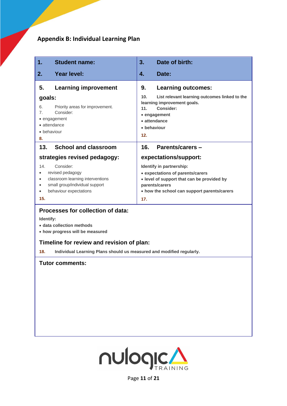# **Appendix B: Individual Learning Plan**

| 1.                                                             | <b>Student name:</b>                                                                                                                                                                                                                | 3.                                                                                                                                                                                                          | Date of birth:                                                                                                                                                        |  |  |
|----------------------------------------------------------------|-------------------------------------------------------------------------------------------------------------------------------------------------------------------------------------------------------------------------------------|-------------------------------------------------------------------------------------------------------------------------------------------------------------------------------------------------------------|-----------------------------------------------------------------------------------------------------------------------------------------------------------------------|--|--|
| 2.                                                             | <b>Year level:</b>                                                                                                                                                                                                                  | 4.                                                                                                                                                                                                          | Date:                                                                                                                                                                 |  |  |
| 5.<br>goals:<br>6.<br>$\overline{7}$ .<br>8.                   | <b>Learning improvement</b><br>Priority areas for improvement.<br>Consider:<br>• engagement<br>• attendance<br>• behaviour                                                                                                          | 9.<br>10.<br>11.<br>12.                                                                                                                                                                                     | <b>Learning outcomes:</b><br>List relevant learning outcomes linked to the<br>learning improvement goals.<br>Consider:<br>• engagement<br>• attendance<br>• behaviour |  |  |
| 13.                                                            | <b>School and classroom</b>                                                                                                                                                                                                         | 16.                                                                                                                                                                                                         | Parents/carers -                                                                                                                                                      |  |  |
| 14.<br>$\bullet$<br>$\bullet$<br>$\bullet$<br>$\bullet$<br>15. | strategies revised pedagogy:<br>Consider:<br>revised pedagogy<br>classroom learning interventions<br>small group/individual support<br>behaviour expectations                                                                       | expectations/support:<br>Identify in partnership:<br>• expectations of parents/carers<br>• level of support that can be provided by<br>parents/carers<br>• how the school can support parents/carers<br>17. |                                                                                                                                                                       |  |  |
| 18.                                                            | Processes for collection of data:<br>Identify:<br>· data collection methods<br>• how progress will be measured<br>Timeline for review and revision of plan:<br>Individual Learning Plans should us measured and modified regularly. |                                                                                                                                                                                                             |                                                                                                                                                                       |  |  |
|                                                                | <b>Tutor comments:</b>                                                                                                                                                                                                              |                                                                                                                                                                                                             |                                                                                                                                                                       |  |  |



Page **11** of **21**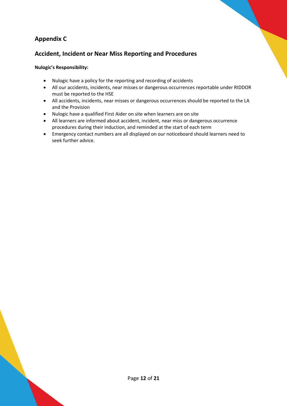## **Appendix C**

## **Accident, Incident or Near Miss Reporting and Procedures**

### **Nulogic's Responsibility:**

- Nulogic have a policy for the reporting and recording of accidents
- All our accidents, incidents, near misses or dangerous occurrences reportable under RIDDOR must be reported to the HSE
- All accidents, incidents, near misses or dangerous occurrences should be reported to the LA and the Provision
- Nulogic have a qualified First Aider on site when learners are on site
- All learners are informed about accident, incident, near miss or dangerous occurrence procedures during their induction, and reminded at the start of each term
- Emergency contact numbers are all displayed on our noticeboard should learners need to seek further advice.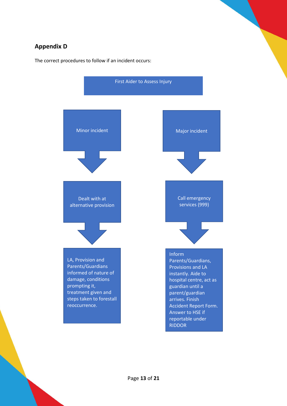## **Appendix D**

The correct procedures to follow if an incident occurs:

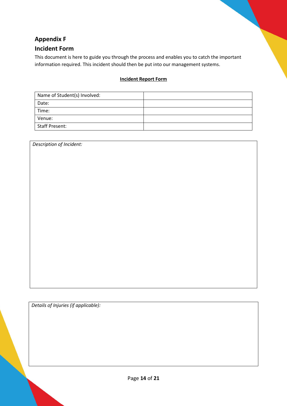# **Appendix F Incident Form**

This document is here to guide you through the process and enables you to catch the important information required. This incident should then be put into our management systems.

### **Incident Report Form**

| Name of Student(s) Involved: |  |
|------------------------------|--|
| Date:                        |  |
| Time:                        |  |
| Venue:                       |  |
| <b>Staff Present:</b>        |  |

*Description of Incident:* 

*Details of Injuries (if applicable):*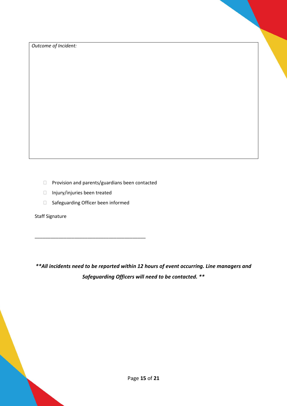*Outcome of Incident:*

- Provision and parents/guardians been contacted
- Injury/injuries been treated
- Safeguarding Officer been informed

\_\_\_\_\_\_\_\_\_\_\_\_\_\_\_\_\_\_\_\_\_\_\_\_\_\_\_\_\_\_\_\_\_\_\_\_\_\_\_\_\_\_

Staff Signature

*\*\*All incidents need to be reported within 12 hours of event occurring. Line managers and Safeguarding Officers will need to be contacted. \*\**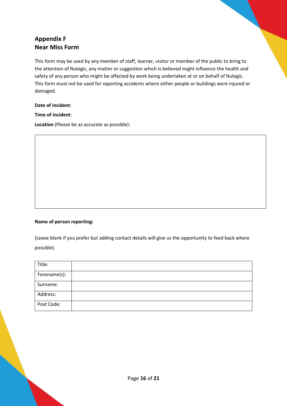## **Appendix F Near Miss Form**

This form may be used by any member of staff, learner, visitor or member of the public to bring to the attention of Nulogic, any matter or suggestion which is believed might influence the health and safety of any person who might be affected by work being undertaken at or on behalf of Nulogic. This form must not be used for reporting accidents where either people or buildings were injured or damaged.

**Date of incident**:

**Time of incident**:

**Location** (Please be as accurate as possible):

### **Name of person reporting:**

(Leave blank if you prefer but adding contact details will give us the opportunity to feed back where possible).

| Title:       |  |
|--------------|--|
| Forename(s): |  |
| Surname:     |  |
| Address:     |  |
| Post Code:   |  |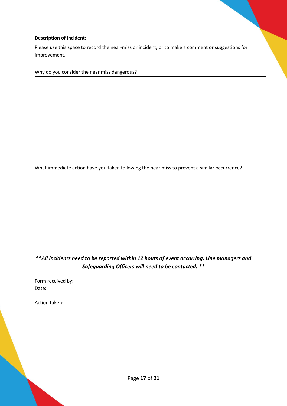### **Description of incident:**

Please use this space to record the near-miss or incident, or to make a comment or suggestions for improvement.

Why do you consider the near miss dangerous?

What immediate action have you taken following the near miss to prevent a similar occurrence?

## *\*\*All incidents need to be reported within 12 hours of event occurring. Line managers and Safeguarding Officers will need to be contacted. \*\**

Form received by: Date:

Action taken: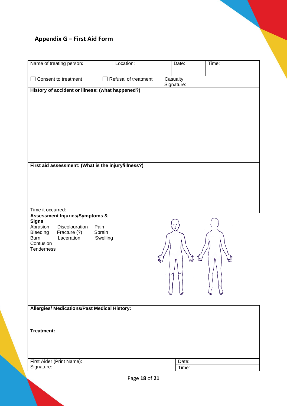# **Appendix G – First Aid Form**

| Name of treating person:                                                                                                |                            | Location:            |                        | Date:            | Time:        |
|-------------------------------------------------------------------------------------------------------------------------|----------------------------|----------------------|------------------------|------------------|--------------|
| Consent to treatment                                                                                                    |                            | Refusal of treatment | Casualty<br>Signature: |                  |              |
| History of accident or illness: (what happened?)<br>First aid assessment: (What is the injury/illness?)                 |                            |                      |                        |                  |              |
| Time it occurred:<br><b>Assessment Injuries/Symptoms &amp;</b>                                                          |                            |                      |                        |                  |              |
| <b>Signs</b><br>Abrasion<br>Discolouration<br>Fracture (?)<br>Bleeding<br>Laceration<br>Burn<br>Contusion<br>Tenderness | Pain<br>Sprain<br>Swelling |                      | ÷<br>h                 | $\tilde{z}_{w'}$ | 7<br>Wi<br>w |
| Allergies/ Medications/Past Medical History:                                                                            |                            |                      |                        |                  |              |
|                                                                                                                         |                            |                      |                        |                  |              |
| Treatment:                                                                                                              |                            |                      |                        |                  |              |
| First Aider (Print Name):<br>Signature:                                                                                 |                            |                      |                        | Date:            |              |
|                                                                                                                         |                            |                      |                        | Time:            |              |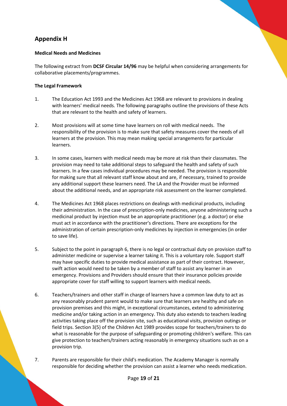## **Appendix H**

### **Medical Needs and Medicines**

The following extract from **DCSF Circular 14/96** may be helpful when considering arrangements for collaborative placements/programmes.

### **The Legal Framework**

- 1. The Education Act 1993 and the Medicines Act 1968 are relevant to provisions in dealing with learners' medical needs. The following paragraphs outline the provisions of these Acts that are relevant to the health and safety of learners.
- 2. Most provisions will at some time have learners on roll with medical needs. The responsibility of the provision is to make sure that safety measures cover the needs of all learners at the provision. This may mean making special arrangements for particular learners.
- 3. In some cases, learners with medical needs may be more at risk than their classmates. The provision may need to take additional steps to safeguard the health and safety of such learners. In a few cases individual procedures may be needed. The provision is responsible for making sure that all relevant staff know about and are, if necessary, trained to provide any additional support these learners need. The LA and the Provider must be informed about the additional needs, and an appropriate risk assessment on the learner completed.
- 4. The Medicines Act 1968 places restrictions on dealings with medicinal products, including their administration. In the case of prescription-only medicines, anyone administering such a medicinal product by injection must be an appropriate practitioner (e.g. a doctor) or else must act in accordance with the practitioner's directions. There are exceptions for the administration of certain prescription-only medicines by injection in emergencies (in order to save life).
- 5. Subject to the point in paragraph 6, there is no legal or contractual duty on provision staff to administer medicine or supervise a learner taking it. This is a voluntary role. Support staff may have specific duties to provide medical assistance as part of their contract. However, swift action would need to be taken by a member of staff to assist any learner in an emergency. Provisions and Providers should ensure that their insurance policies provide appropriate cover for staff willing to support learners with medical needs.
- 6. Teachers/trainers and other staff in charge of learners have a common law duty to act as any reasonably prudent parent would to make sure that learners are healthy and safe on provision premises and this might, in exceptional circumstances, extend to administering medicine and/or taking action in an emergency. This duty also extends to teachers leading activities taking place off the provision site, such as educational visits, provision outings or field trips. Section 3(5) of the Children Act 1989 provides scope for teachers/trainers to do what is reasonable for the purpose of safeguarding or promoting children's welfare. This can give protection to teachers/trainers acting reasonably in emergency situations such as on a provision trip.
- 7. Parents are responsible for their child's medication. The Academy Manager is normally responsible for deciding whether the provision can assist a learner who needs medication.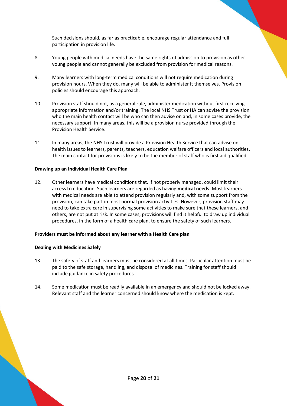Such decisions should, as far as practicable, encourage regular attendance and full participation in provision life.

- 8. Young people with medical needs have the same rights of admission to provision as other young people and cannot generally be excluded from provision for medical reasons.
- 9. Many learners with long-term medical conditions will not require medication during provision hours. When they do, many will be able to administer it themselves. Provision policies should encourage this approach.
- 10. Provision staff should not, as a general rule, administer medication without first receiving appropriate information and/or training. The local NHS Trust or HA can advise the provision who the main health contact will be who can then advise on and, in some cases provide, the necessary support. In many areas, this will be a provision nurse provided through the Provision Health Service.
- 11. In many areas, the NHS Trust will provide a Provision Health Service that can advise on health issues to learners, parents, teachers, education welfare officers and local authorities. The main contact for provisions is likely to be the member of staff who is first aid qualified.

### **Drawing up an Individual Health Care Plan**

12. Other learners have medical conditions that, if not properly managed, could limit their access to education. Such learners are regarded as having **medical needs**. Most learners with medical needs are able to attend provision regularly and, with some support from the provision, can take part in most normal provision activities. However, provision staff may need to take extra care in supervising some activities to make sure that these learners, and others, are not put at risk. In some cases, provisions will find it helpful to draw up individual procedures, in the form of a health care plan, to ensure the safety of such learners**.** 

### **Providers must be informed about any learner with a Health Care plan**

### **Dealing with Medicines Safely**

- 13. The safety of staff and learners must be considered at all times. Particular attention must be paid to the safe storage, handling, and disposal of medicines. Training for staff should include guidance in safety procedures.
- 14. Some medication must be readily available in an emergency and should not be locked away. Relevant staff and the learner concerned should know where the medication is kept.